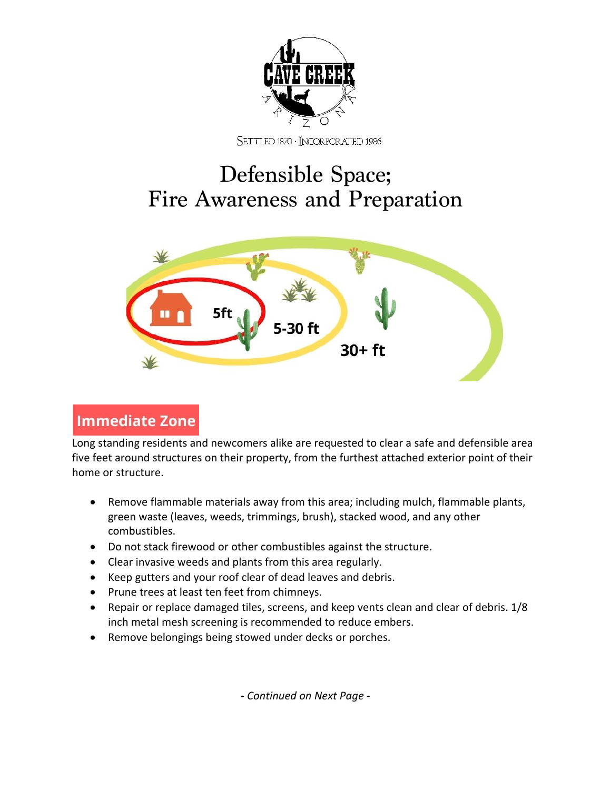

SETTLED 1870 · INCORPORATED 1986

# Defensible Space; Fire Awareness and Preparation



## **Immediate Zone**

Long standing residents and newcomers alike are requested to clear a safe and defensible area five feet around structures on their property, from the furthest attached exterior point of their home or structure.

- Remove flammable materials away from this area; including mulch, flammable plants, green waste (leaves, weeds, trimmings, brush), stacked wood, and any other combustibles.
- Do not stack firewood or other combustibles against the structure.
- Clear invasive weeds and plants from this area regularly.
- Keep gutters and your roof clear of dead leaves and debris.
- Prune trees at least ten feet from chimneys.
- Repair or replace damaged tiles, screens, and keep vents clean and clear of debris. 1/8 inch metal mesh screening is recommended to reduce embers.
- Remove belongings being stowed under decks or porches.

*- Continued on Next Page -*